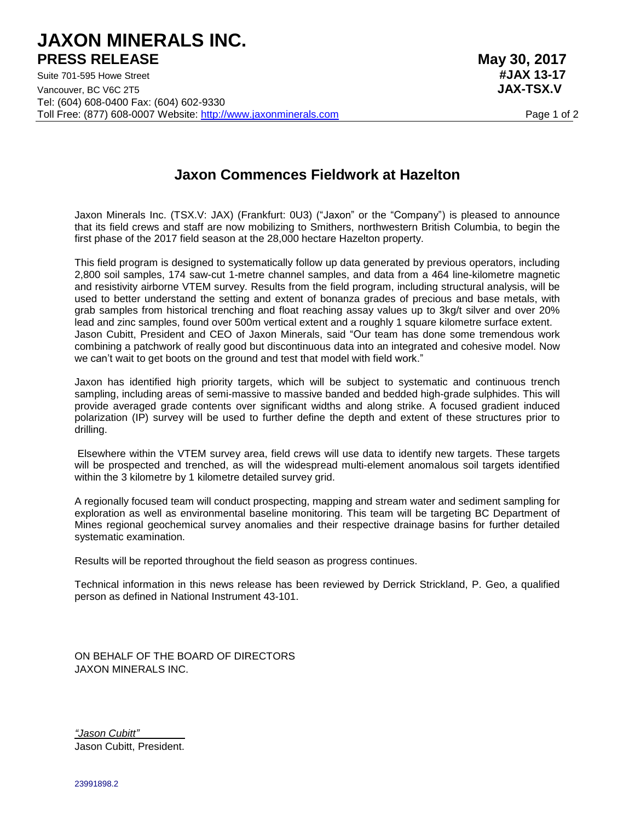## **JAXON MINERALS INC. PRESS RELEASE** May 30, 2017

Suite 701-595 Howe Street **#JAX 13-17** Vancouver, BC V6C 2T5 **JAX-TSX.V** Tel: (604) 608-0400 Fax: (604) 602-9330 Toll Free: (877) 608-0007 Website: [http://www.jaxonminerals.com](http://www.jaxonminerals.com/) Page 1 of 2

## **Jaxon Commences Fieldwork at Hazelton**

Jaxon Minerals Inc. (TSX.V: JAX) (Frankfurt: 0U3) ("Jaxon" or the "Company") is pleased to announce that its field crews and staff are now mobilizing to Smithers, northwestern British Columbia, to begin the first phase of the 2017 field season at the 28,000 hectare Hazelton property.

This field program is designed to systematically follow up data generated by previous operators, including 2,800 soil samples, 174 saw-cut 1-metre channel samples, and data from a 464 line-kilometre magnetic and resistivity airborne VTEM survey. Results from the field program, including structural analysis, will be used to better understand the setting and extent of bonanza grades of precious and base metals, with grab samples from historical trenching and float reaching assay values up to 3kg/t silver and over 20% lead and zinc samples, found over 500m vertical extent and a roughly 1 square kilometre surface extent. Jason Cubitt, President and CEO of Jaxon Minerals, said "Our team has done some tremendous work combining a patchwork of really good but discontinuous data into an integrated and cohesive model. Now we can't wait to get boots on the ground and test that model with field work."

Jaxon has identified high priority targets, which will be subject to systematic and continuous trench sampling, including areas of semi-massive to massive banded and bedded high-grade sulphides. This will provide averaged grade contents over significant widths and along strike. A focused gradient induced polarization (IP) survey will be used to further define the depth and extent of these structures prior to drilling.

Elsewhere within the VTEM survey area, field crews will use data to identify new targets. These targets will be prospected and trenched, as will the widespread multi-element anomalous soil targets identified within the 3 kilometre by 1 kilometre detailed survey grid.

A regionally focused team will conduct prospecting, mapping and stream water and sediment sampling for exploration as well as environmental baseline monitoring. This team will be targeting BC Department of Mines regional geochemical survey anomalies and their respective drainage basins for further detailed systematic examination.

Results will be reported throughout the field season as progress continues.

Technical information in this news release has been reviewed by Derrick Strickland, P. Geo, a qualified person as defined in National Instrument 43-101.

ON BEHALF OF THE BOARD OF DIRECTORS JAXON MINERALS INC.

*"Jason Cubitt" \_\_\_\_\_\_* Jason Cubitt, President.